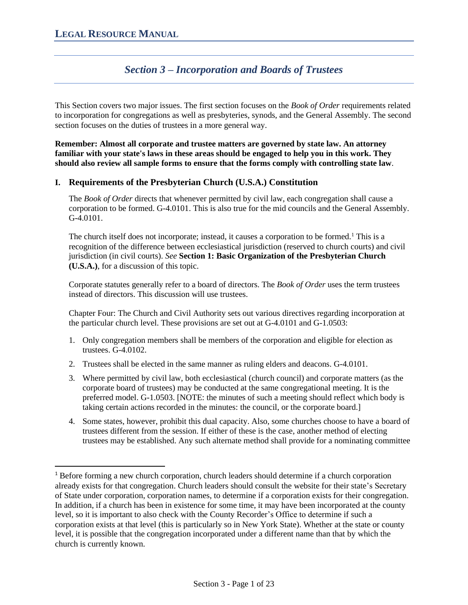# *Section 3 – Incorporation and Boards of Trustees*

This Section covers two major issues. The first section focuses on the *Book of Order* requirements related to incorporation for congregations as well as presbyteries, synods, and the General Assembly. The second section focuses on the duties of trustees in a more general way.

**Remember: Almost all corporate and trustee matters are governed by state law. An attorney familiar with your state's laws in these areas should be engaged to help you in this work. They should also review all sample forms to ensure that the forms comply with controlling state law**.

### **I. Requirements of the Presbyterian Church (U.S.A.) Constitution**

The *Book of Order* directs that whenever permitted by civil law, each congregation shall cause a corporation to be formed. G-4.0101. This is also true for the mid councils and the General Assembly. G-4.0101.

The church itself does not incorporate; instead, it causes a corporation to be formed.<sup>1</sup> This is a recognition of the difference between ecclesiastical jurisdiction (reserved to church courts) and civil jurisdiction (in civil courts). *See* **Section 1: Basic Organization of the Presbyterian Church (U.S.A.)**, for a discussion of this topic.

Corporate statutes generally refer to a board of directors. The *Book of Order* uses the term trustees instead of directors. This discussion will use trustees.

Chapter Four: The Church and Civil Authority sets out various directives regarding incorporation at the particular church level. These provisions are set out at G-4.0101 and G-1.0503:

- 1. Only congregation members shall be members of the corporation and eligible for election as trustees. G-4.0102.
- 2. Trustees shall be elected in the same manner as ruling elders and deacons. G-4.0101.
- 3. Where permitted by civil law, both ecclesiastical (church council) and corporate matters (as the corporate board of trustees) may be conducted at the same congregational meeting. It is the preferred model. G-1.0503. [NOTE: the minutes of such a meeting should reflect which body is taking certain actions recorded in the minutes: the council, or the corporate board.]
- 4. Some states, however, prohibit this dual capacity. Also, some churches choose to have a board of trustees different from the session. If either of these is the case, another method of electing trustees may be established. Any such alternate method shall provide for a nominating committee

<sup>1</sup> Before forming a new church corporation, church leaders should determine if a church corporation already exists for that congregation. Church leaders should consult the website for their state's Secretary of State under corporation, corporation names, to determine if a corporation exists for their congregation. In addition, if a church has been in existence for some time, it may have been incorporated at the county level, so it is important to also check with the County Recorder's Office to determine if such a corporation exists at that level (this is particularly so in New York State). Whether at the state or county level, it is possible that the congregation incorporated under a different name than that by which the church is currently known.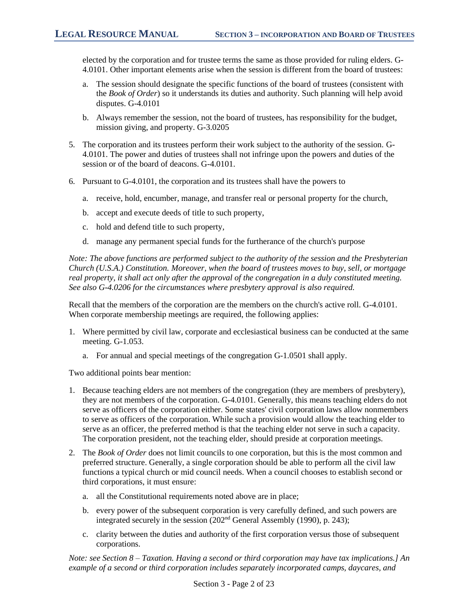elected by the corporation and for trustee terms the same as those provided for ruling elders. G-4.0101. Other important elements arise when the session is different from the board of trustees:

- a. The session should designate the specific functions of the board of trustees (consistent with the *Book of Order*) so it understands its duties and authority. Such planning will help avoid disputes. G-4.0101
- b. Always remember the session, not the board of trustees, has responsibility for the budget, mission giving, and property. G-3.0205
- 5. The corporation and its trustees perform their work subject to the authority of the session. G-4.0101. The power and duties of trustees shall not infringe upon the powers and duties of the session or of the board of deacons. G-4.0101.
- 6. Pursuant to G-4.0101, the corporation and its trustees shall have the powers to
	- a. receive, hold, encumber, manage, and transfer real or personal property for the church,
	- b. accept and execute deeds of title to such property,
	- c. hold and defend title to such property,
	- d. manage any permanent special funds for the furtherance of the church's purpose

*Note: The above functions are performed subject to the authority of the session and the Presbyterian Church (U.S.A.) Constitution. Moreover, when the board of trustees moves to buy, sell, or mortgage real property, it shall act only after the approval of the congregation in a duly constituted meeting. See also G-4.0206 for the circumstances where presbytery approval is also required.*

Recall that the members of the corporation are the members on the church's active roll. G-4.0101. When corporate membership meetings are required, the following applies:

- 1. Where permitted by civil law, corporate and ecclesiastical business can be conducted at the same meeting. G-1.053.
	- a. For annual and special meetings of the congregation G-1.0501 shall apply.

Two additional points bear mention:

- 1. Because teaching elders are not members of the congregation (they are members of presbytery), they are not members of the corporation. G-4.0101. Generally, this means teaching elders do not serve as officers of the corporation either. Some states' civil corporation laws allow nonmembers to serve as officers of the corporation. While such a provision would allow the teaching elder to serve as an officer, the preferred method is that the teaching elder not serve in such a capacity. The corporation president, not the teaching elder, should preside at corporation meetings.
- 2. The *Book of Order* does not limit councils to one corporation, but this is the most common and preferred structure. Generally, a single corporation should be able to perform all the civil law functions a typical church or mid council needs. When a council chooses to establish second or third corporations, it must ensure:
	- a. all the Constitutional requirements noted above are in place;
	- b. every power of the subsequent corporation is very carefully defined, and such powers are integrated securely in the session (202nd General Assembly (1990), p. 243);
	- c. clarity between the duties and authority of the first corporation versus those of subsequent corporations.

*Note: see Section 8 – Taxation. Having a second or third corporation may have tax implications.] An example of a second or third corporation includes separately incorporated camps, daycares, and*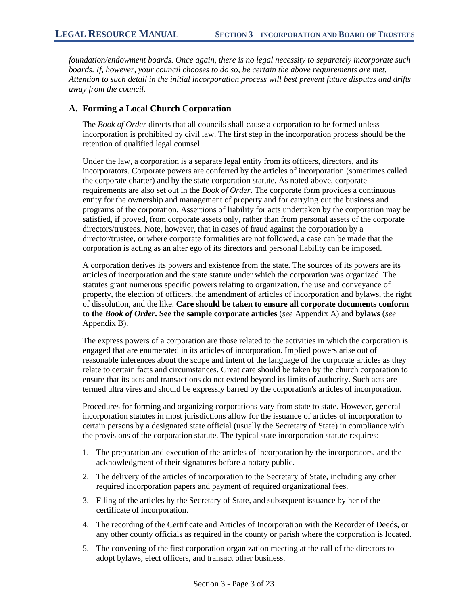*foundation/endowment boards. Once again, there is no legal necessity to separately incorporate such boards. If, however, your council chooses to do so, be certain the above requirements are met. Attention to such detail in the initial incorporation process will best prevent future disputes and drifts away from the council.* 

#### **A. Forming a Local Church Corporation**

The *Book of Order* directs that all councils shall cause a corporation to be formed unless incorporation is prohibited by civil law. The first step in the incorporation process should be the retention of qualified legal counsel.

Under the law, a corporation is a separate legal entity from its officers, directors, and its incorporators. Corporate powers are conferred by the articles of incorporation (sometimes called the corporate charter) and by the state corporation statute. As noted above, corporate requirements are also set out in the *Book of Order*. The corporate form provides a continuous entity for the ownership and management of property and for carrying out the business and programs of the corporation. Assertions of liability for acts undertaken by the corporation may be satisfied, if proved, from corporate assets only, rather than from personal assets of the corporate directors/trustees. Note, however, that in cases of fraud against the corporation by a director/trustee, or where corporate formalities are not followed, a case can be made that the corporation is acting as an alter ego of its directors and personal liability can be imposed.

A corporation derives its powers and existence from the state. The sources of its powers are its articles of incorporation and the state statute under which the corporation was organized. The statutes grant numerous specific powers relating to organization, the use and conveyance of property, the election of officers, the amendment of articles of incorporation and bylaws, the right of dissolution, and the like. **Care should be taken to ensure all corporate documents conform to the** *Book of Order***. See the sample corporate articles** (*see* Appendix A) and **bylaws** (*see* Appendix B).

The express powers of a corporation are those related to the activities in which the corporation is engaged that are enumerated in its articles of incorporation. Implied powers arise out of reasonable inferences about the scope and intent of the language of the corporate articles as they relate to certain facts and circumstances. Great care should be taken by the church corporation to ensure that its acts and transactions do not extend beyond its limits of authority. Such acts are termed ultra vires and should be expressly barred by the corporation's articles of incorporation.

Procedures for forming and organizing corporations vary from state to state. However, general incorporation statutes in most jurisdictions allow for the issuance of articles of incorporation to certain persons by a designated state official (usually the Secretary of State) in compliance with the provisions of the corporation statute. The typical state incorporation statute requires:

- 1. The preparation and execution of the articles of incorporation by the incorporators, and the acknowledgment of their signatures before a notary public.
- 2. The delivery of the articles of incorporation to the Secretary of State, including any other required incorporation papers and payment of required organizational fees.
- 3. Filing of the articles by the Secretary of State, and subsequent issuance by her of the certificate of incorporation.
- 4. The recording of the Certificate and Articles of Incorporation with the Recorder of Deeds, or any other county officials as required in the county or parish where the corporation is located.
- 5. The convening of the first corporation organization meeting at the call of the directors to adopt bylaws, elect officers, and transact other business.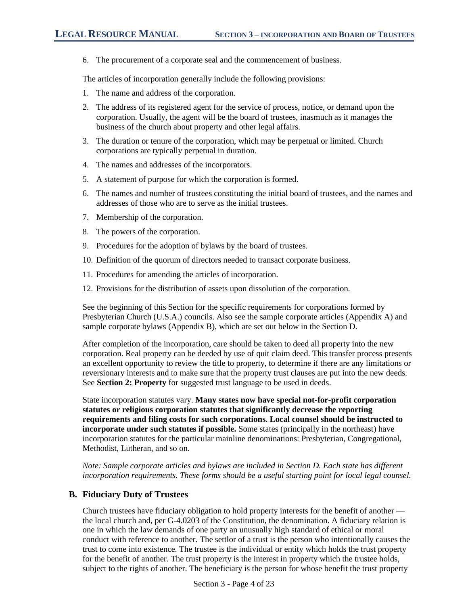6. The procurement of a corporate seal and the commencement of business.

The articles of incorporation generally include the following provisions:

- 1. The name and address of the corporation.
- 2. The address of its registered agent for the service of process, notice, or demand upon the corporation. Usually, the agent will be the board of trustees, inasmuch as it manages the business of the church about property and other legal affairs.
- 3. The duration or tenure of the corporation, which may be perpetual or limited. Church corporations are typically perpetual in duration.
- 4. The names and addresses of the incorporators.
- 5. A statement of purpose for which the corporation is formed.
- 6. The names and number of trustees constituting the initial board of trustees, and the names and addresses of those who are to serve as the initial trustees.
- 7. Membership of the corporation.
- 8. The powers of the corporation.
- 9. Procedures for the adoption of bylaws by the board of trustees.
- 10. Definition of the quorum of directors needed to transact corporate business.
- 11. Procedures for amending the articles of incorporation.
- 12. Provisions for the distribution of assets upon dissolution of the corporation.

See the beginning of this Section for the specific requirements for corporations formed by Presbyterian Church (U.S.A.) councils. Also see the sample corporate articles (Appendix A) and sample corporate bylaws (Appendix B), which are set out below in the Section D.

After completion of the incorporation, care should be taken to deed all property into the new corporation. Real property can be deeded by use of quit claim deed. This transfer process presents an excellent opportunity to review the title to property, to determine if there are any limitations or reversionary interests and to make sure that the property trust clauses are put into the new deeds. See **Section 2: Property** for suggested trust language to be used in deeds.

State incorporation statutes vary. **Many states now have special not-for-profit corporation statutes or religious corporation statutes that significantly decrease the reporting requirements and filing costs for such corporations. Local counsel should be instructed to incorporate under such statutes if possible.** Some states (principally in the northeast) have incorporation statutes for the particular mainline denominations: Presbyterian, Congregational, Methodist, Lutheran, and so on.

*Note: Sample corporate articles and bylaws are included in Section D. Each state has different incorporation requirements. These forms should be a useful starting point for local legal counsel.*

# **B. Fiduciary Duty of Trustees**

Church trustees have fiduciary obligation to hold property interests for the benefit of another the local church and, per G-4.0203 of the Constitution, the denomination. A fiduciary relation is one in which the law demands of one party an unusually high standard of ethical or moral conduct with reference to another. The settlor of a trust is the person who intentionally causes the trust to come into existence. The trustee is the individual or entity which holds the trust property for the benefit of another. The trust property is the interest in property which the trustee holds, subject to the rights of another. The beneficiary is the person for whose benefit the trust property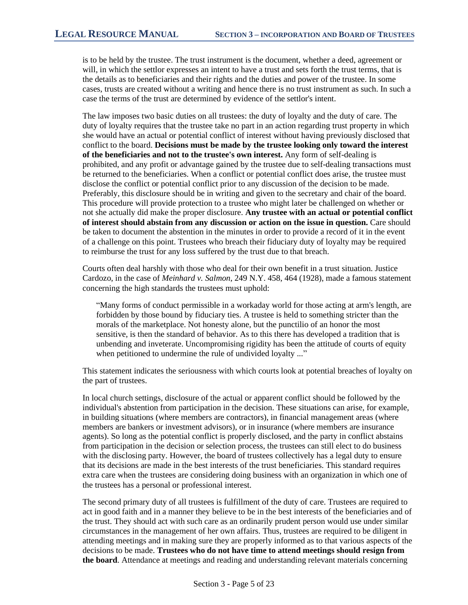is to be held by the trustee. The trust instrument is the document, whether a deed, agreement or will, in which the settlor expresses an intent to have a trust and sets forth the trust terms, that is the details as to beneficiaries and their rights and the duties and power of the trustee. In some cases, trusts are created without a writing and hence there is no trust instrument as such. In such a case the terms of the trust are determined by evidence of the settlor's intent.

The law imposes two basic duties on all trustees: the duty of loyalty and the duty of care. The duty of loyalty requires that the trustee take no part in an action regarding trust property in which she would have an actual or potential conflict of interest without having previously disclosed that conflict to the board. **Decisions must be made by the trustee looking only toward the interest of the beneficiaries and not to the trustee's own interest.** Any form of self-dealing is prohibited, and any profit or advantage gained by the trustee due to self-dealing transactions must be returned to the beneficiaries. When a conflict or potential conflict does arise, the trustee must disclose the conflict or potential conflict prior to any discussion of the decision to be made. Preferably, this disclosure should be in writing and given to the secretary and chair of the board. This procedure will provide protection to a trustee who might later be challenged on whether or not she actually did make the proper disclosure. **Any trustee with an actual or potential conflict of interest should abstain from any discussion or action on the issue in question.** Care should be taken to document the abstention in the minutes in order to provide a record of it in the event of a challenge on this point. Trustees who breach their fiduciary duty of loyalty may be required to reimburse the trust for any loss suffered by the trust due to that breach.

Courts often deal harshly with those who deal for their own benefit in a trust situation. Justice Cardozo, in the case of *Meinhard v. Salmon*, 249 N.Y. 458, 464 (1928), made a famous statement concerning the high standards the trustees must uphold:

"Many forms of conduct permissible in a workaday world for those acting at arm's length, are forbidden by those bound by fiduciary ties. A trustee is held to something stricter than the morals of the marketplace. Not honesty alone, but the punctilio of an honor the most sensitive, is then the standard of behavior. As to this there has developed a tradition that is unbending and inveterate. Uncompromising rigidity has been the attitude of courts of equity when petitioned to undermine the rule of undivided loyalty ..."

This statement indicates the seriousness with which courts look at potential breaches of loyalty on the part of trustees.

In local church settings, disclosure of the actual or apparent conflict should be followed by the individual's abstention from participation in the decision. These situations can arise, for example, in building situations (where members are contractors), in financial management areas (where members are bankers or investment advisors), or in insurance (where members are insurance agents). So long as the potential conflict is properly disclosed, and the party in conflict abstains from participation in the decision or selection process, the trustees can still elect to do business with the disclosing party. However, the board of trustees collectively has a legal duty to ensure that its decisions are made in the best interests of the trust beneficiaries. This standard requires extra care when the trustees are considering doing business with an organization in which one of the trustees has a personal or professional interest.

The second primary duty of all trustees is fulfillment of the duty of care. Trustees are required to act in good faith and in a manner they believe to be in the best interests of the beneficiaries and of the trust. They should act with such care as an ordinarily prudent person would use under similar circumstances in the management of her own affairs. Thus, trustees are required to be diligent in attending meetings and in making sure they are properly informed as to that various aspects of the decisions to be made. **Trustees who do not have time to attend meetings should resign from the board**. Attendance at meetings and reading and understanding relevant materials concerning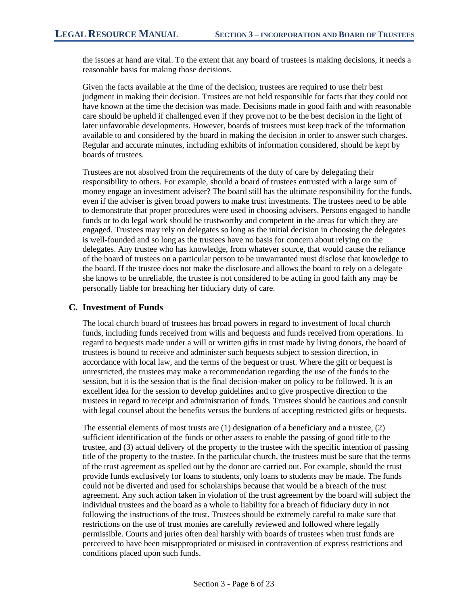the issues at hand are vital. To the extent that any board of trustees is making decisions, it needs a reasonable basis for making those decisions.

Given the facts available at the time of the decision, trustees are required to use their best judgment in making their decision. Trustees are not held responsible for facts that they could not have known at the time the decision was made. Decisions made in good faith and with reasonable care should be upheld if challenged even if they prove not to be the best decision in the light of later unfavorable developments. However, boards of trustees must keep track of the information available to and considered by the board in making the decision in order to answer such charges. Regular and accurate minutes, including exhibits of information considered, should be kept by boards of trustees.

Trustees are not absolved from the requirements of the duty of care by delegating their responsibility to others. For example, should a board of trustees entrusted with a large sum of money engage an investment adviser? The board still has the ultimate responsibility for the funds, even if the adviser is given broad powers to make trust investments. The trustees need to be able to demonstrate that proper procedures were used in choosing advisers. Persons engaged to handle funds or to do legal work should be trustworthy and competent in the areas for which they are engaged. Trustees may rely on delegates so long as the initial decision in choosing the delegates is well-founded and so long as the trustees have no basis for concern about relying on the delegates. Any trustee who has knowledge, from whatever source, that would cause the reliance of the board of trustees on a particular person to be unwarranted must disclose that knowledge to the board. If the trustee does not make the disclosure and allows the board to rely on a delegate she knows to be unreliable, the trustee is not considered to be acting in good faith any may be personally liable for breaching her fiduciary duty of care.

#### **C. Investment of Funds**

The local church board of trustees has broad powers in regard to investment of local church funds, including funds received from wills and bequests and funds received from operations. In regard to bequests made under a will or written gifts in trust made by living donors, the board of trustees is bound to receive and administer such bequests subject to session direction, in accordance with local law, and the terms of the bequest or trust. Where the gift or bequest is unrestricted, the trustees may make a recommendation regarding the use of the funds to the session, but it is the session that is the final decision-maker on policy to be followed. It is an excellent idea for the session to develop guidelines and to give prospective direction to the trustees in regard to receipt and administration of funds. Trustees should be cautious and consult with legal counsel about the benefits versus the burdens of accepting restricted gifts or bequests.

The essential elements of most trusts are (1) designation of a beneficiary and a trustee, (2) sufficient identification of the funds or other assets to enable the passing of good title to the trustee, and (3) actual delivery of the property to the trustee with the specific intention of passing title of the property to the trustee. In the particular church, the trustees must be sure that the terms of the trust agreement as spelled out by the donor are carried out. For example, should the trust provide funds exclusively for loans to students, only loans to students may be made. The funds could not be diverted and used for scholarships because that would be a breach of the trust agreement. Any such action taken in violation of the trust agreement by the board will subject the individual trustees and the board as a whole to liability for a breach of fiduciary duty in not following the instructions of the trust. Trustees should be extremely careful to make sure that restrictions on the use of trust monies are carefully reviewed and followed where legally permissible. Courts and juries often deal harshly with boards of trustees when trust funds are perceived to have been misappropriated or misused in contravention of express restrictions and conditions placed upon such funds.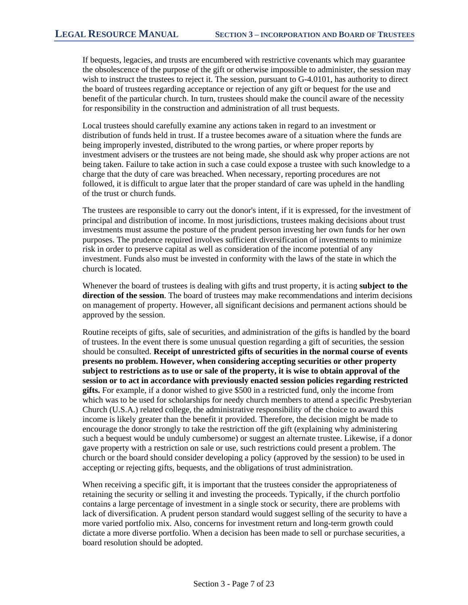If bequests, legacies, and trusts are encumbered with restrictive covenants which may guarantee the obsolescence of the purpose of the gift or otherwise impossible to administer, the session may wish to instruct the trustees to reject it. The session, pursuant to G-4.0101, has authority to direct the board of trustees regarding acceptance or rejection of any gift or bequest for the use and benefit of the particular church. In turn, trustees should make the council aware of the necessity for responsibility in the construction and administration of all trust bequests.

Local trustees should carefully examine any actions taken in regard to an investment or distribution of funds held in trust. If a trustee becomes aware of a situation where the funds are being improperly invested, distributed to the wrong parties, or where proper reports by investment advisers or the trustees are not being made, she should ask why proper actions are not being taken. Failure to take action in such a case could expose a trustee with such knowledge to a charge that the duty of care was breached. When necessary, reporting procedures are not followed, it is difficult to argue later that the proper standard of care was upheld in the handling of the trust or church funds.

The trustees are responsible to carry out the donor's intent, if it is expressed, for the investment of principal and distribution of income. In most jurisdictions, trustees making decisions about trust investments must assume the posture of the prudent person investing her own funds for her own purposes. The prudence required involves sufficient diversification of investments to minimize risk in order to preserve capital as well as consideration of the income potential of any investment. Funds also must be invested in conformity with the laws of the state in which the church is located.

Whenever the board of trustees is dealing with gifts and trust property, it is acting **subject to the direction of the session**. The board of trustees may make recommendations and interim decisions on management of property. However, all significant decisions and permanent actions should be approved by the session.

Routine receipts of gifts, sale of securities, and administration of the gifts is handled by the board of trustees. In the event there is some unusual question regarding a gift of securities, the session should be consulted. **Receipt of unrestricted gifts of securities in the normal course of events presents no problem. However, when considering accepting securities or other property subject to restrictions as to use or sale of the property, it is wise to obtain approval of the session or to act in accordance with previously enacted session policies regarding restricted gifts.** For example, if a donor wished to give \$500 in a restricted fund, only the income from which was to be used for scholarships for needy church members to attend a specific Presbyterian Church (U.S.A.) related college, the administrative responsibility of the choice to award this income is likely greater than the benefit it provided. Therefore, the decision might be made to encourage the donor strongly to take the restriction off the gift (explaining why administering such a bequest would be unduly cumbersome) or suggest an alternate trustee. Likewise, if a donor gave property with a restriction on sale or use, such restrictions could present a problem. The church or the board should consider developing a policy (approved by the session) to be used in accepting or rejecting gifts, bequests, and the obligations of trust administration.

When receiving a specific gift, it is important that the trustees consider the appropriateness of retaining the security or selling it and investing the proceeds. Typically, if the church portfolio contains a large percentage of investment in a single stock or security, there are problems with lack of diversification. A prudent person standard would suggest selling of the security to have a more varied portfolio mix. Also, concerns for investment return and long-term growth could dictate a more diverse portfolio. When a decision has been made to sell or purchase securities, a board resolution should be adopted.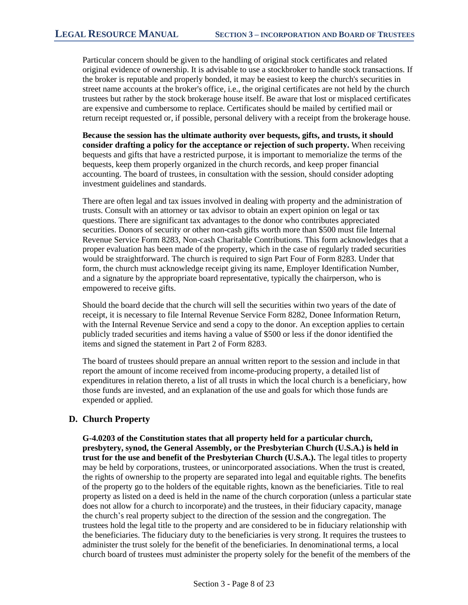Particular concern should be given to the handling of original stock certificates and related original evidence of ownership. It is advisable to use a stockbroker to handle stock transactions. If the broker is reputable and properly bonded, it may be easiest to keep the church's securities in street name accounts at the broker's office, i.e., the original certificates are not held by the church trustees but rather by the stock brokerage house itself. Be aware that lost or misplaced certificates are expensive and cumbersome to replace. Certificates should be mailed by certified mail or return receipt requested or, if possible, personal delivery with a receipt from the brokerage house.

**Because the session has the ultimate authority over bequests, gifts, and trusts, it should consider drafting a policy for the acceptance or rejection of such property.** When receiving bequests and gifts that have a restricted purpose, it is important to memorialize the terms of the bequests, keep them properly organized in the church records, and keep proper financial accounting. The board of trustees, in consultation with the session, should consider adopting investment guidelines and standards.

There are often legal and tax issues involved in dealing with property and the administration of trusts. Consult with an attorney or tax advisor to obtain an expert opinion on legal or tax questions. There are significant tax advantages to the donor who contributes appreciated securities. Donors of security or other non-cash gifts worth more than \$500 must file Internal Revenue Service Form 8283, Non-cash Charitable Contributions. This form acknowledges that a proper evaluation has been made of the property, which in the case of regularly traded securities would be straightforward. The church is required to sign Part Four of Form 8283. Under that form, the church must acknowledge receipt giving its name, Employer Identification Number, and a signature by the appropriate board representative, typically the chairperson, who is empowered to receive gifts.

Should the board decide that the church will sell the securities within two years of the date of receipt, it is necessary to file Internal Revenue Service Form 8282, Donee Information Return, with the Internal Revenue Service and send a copy to the donor. An exception applies to certain publicly traded securities and items having a value of \$500 or less if the donor identified the items and signed the statement in Part 2 of Form 8283.

The board of trustees should prepare an annual written report to the session and include in that report the amount of income received from income-producing property, a detailed list of expenditures in relation thereto, a list of all trusts in which the local church is a beneficiary, how those funds are invested, and an explanation of the use and goals for which those funds are expended or applied.

# **D. Church Property**

**G-4.0203 of the Constitution states that all property held for a particular church, presbytery, synod, the General Assembly, or the Presbyterian Church (U.S.A.) is held in trust for the use and benefit of the Presbyterian Church (U.S.A.).** The legal titles to property may be held by corporations, trustees, or unincorporated associations. When the trust is created, the rights of ownership to the property are separated into legal and equitable rights. The benefits of the property go to the holders of the equitable rights, known as the beneficiaries. Title to real property as listed on a deed is held in the name of the church corporation (unless a particular state does not allow for a church to incorporate) and the trustees, in their fiduciary capacity, manage the church's real property subject to the direction of the session and the congregation. The trustees hold the legal title to the property and are considered to be in fiduciary relationship with the beneficiaries. The fiduciary duty to the beneficiaries is very strong. It requires the trustees to administer the trust solely for the benefit of the beneficiaries. In denominational terms, a local church board of trustees must administer the property solely for the benefit of the members of the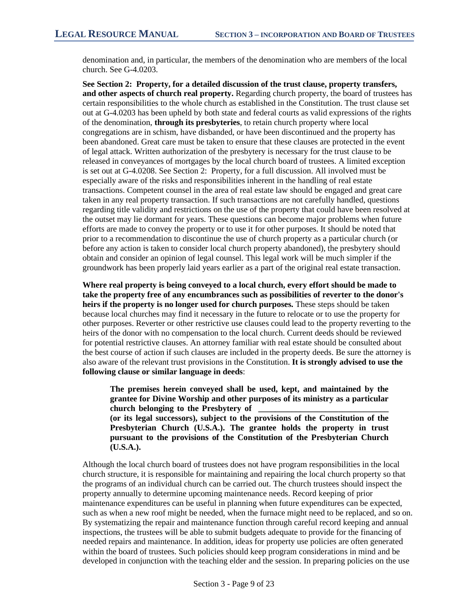denomination and, in particular, the members of the denomination who are members of the local church. See G-4.0203.

**See Section 2: Property, for a detailed discussion of the trust clause, property transfers, and other aspects of church real property.** Regarding church property, the board of trustees has certain responsibilities to the whole church as established in the Constitution. The trust clause set out at G-4.0203 has been upheld by both state and federal courts as valid expressions of the rights of the denomination, **through its presbyteries**, to retain church property where local congregations are in schism, have disbanded, or have been discontinued and the property has been abandoned. Great care must be taken to ensure that these clauses are protected in the event of legal attack. Written authorization of the presbytery is necessary for the trust clause to be released in conveyances of mortgages by the local church board of trustees. A limited exception is set out at G-4.0208. See Section 2: Property, for a full discussion. All involved must be especially aware of the risks and responsibilities inherent in the handling of real estate transactions. Competent counsel in the area of real estate law should be engaged and great care taken in any real property transaction. If such transactions are not carefully handled, questions regarding title validity and restrictions on the use of the property that could have been resolved at the outset may lie dormant for years. These questions can become major problems when future efforts are made to convey the property or to use it for other purposes. It should be noted that prior to a recommendation to discontinue the use of church property as a particular church (or before any action is taken to consider local church property abandoned), the presbytery should obtain and consider an opinion of legal counsel. This legal work will be much simpler if the groundwork has been properly laid years earlier as a part of the original real estate transaction.

**Where real property is being conveyed to a local church, every effort should be made to take the property free of any encumbrances such as possibilities of reverter to the donor's heirs if the property is no longer used for church purposes.** These steps should be taken because local churches may find it necessary in the future to relocate or to use the property for other purposes. Reverter or other restrictive use clauses could lead to the property reverting to the heirs of the donor with no compensation to the local church. Current deeds should be reviewed for potential restrictive clauses. An attorney familiar with real estate should be consulted about the best course of action if such clauses are included in the property deeds. Be sure the attorney is also aware of the relevant trust provisions in the Constitution. **It is strongly advised to use the following clause or similar language in deeds**:

**The premises herein conveyed shall be used, kept, and maintained by the grantee for Divine Worship and other purposes of its ministry as a particular church belonging to the Presbytery of \_\_\_\_\_\_\_\_\_\_\_\_\_\_\_\_\_\_\_\_\_\_\_\_\_\_\_\_\_\_\_ (or its legal successors), subject to the provisions of the Constitution of the Presbyterian Church (U.S.A.). The grantee holds the property in trust pursuant to the provisions of the Constitution of the Presbyterian Church (U.S.A.).** 

Although the local church board of trustees does not have program responsibilities in the local church structure, it is responsible for maintaining and repairing the local church property so that the programs of an individual church can be carried out. The church trustees should inspect the property annually to determine upcoming maintenance needs. Record keeping of prior maintenance expenditures can be useful in planning when future expenditures can be expected, such as when a new roof might be needed, when the furnace might need to be replaced, and so on. By systematizing the repair and maintenance function through careful record keeping and annual inspections, the trustees will be able to submit budgets adequate to provide for the financing of needed repairs and maintenance. In addition, ideas for property use policies are often generated within the board of trustees. Such policies should keep program considerations in mind and be developed in conjunction with the teaching elder and the session. In preparing policies on the use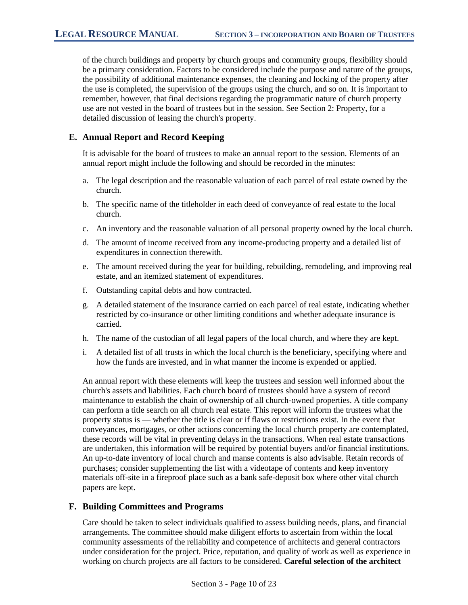of the church buildings and property by church groups and community groups, flexibility should be a primary consideration. Factors to be considered include the purpose and nature of the groups, the possibility of additional maintenance expenses, the cleaning and locking of the property after the use is completed, the supervision of the groups using the church, and so on. It is important to remember, however, that final decisions regarding the programmatic nature of church property use are not vested in the board of trustees but in the session. See Section 2: Property, for a detailed discussion of leasing the church's property.

#### **E. Annual Report and Record Keeping**

It is advisable for the board of trustees to make an annual report to the session. Elements of an annual report might include the following and should be recorded in the minutes:

- a. The legal description and the reasonable valuation of each parcel of real estate owned by the church.
- b. The specific name of the titleholder in each deed of conveyance of real estate to the local church.
- c. An inventory and the reasonable valuation of all personal property owned by the local church.
- d. The amount of income received from any income-producing property and a detailed list of expenditures in connection therewith.
- e. The amount received during the year for building, rebuilding, remodeling, and improving real estate, and an itemized statement of expenditures.
- f. Outstanding capital debts and how contracted.
- g. A detailed statement of the insurance carried on each parcel of real estate, indicating whether restricted by co-insurance or other limiting conditions and whether adequate insurance is carried.
- h. The name of the custodian of all legal papers of the local church, and where they are kept.
- i. A detailed list of all trusts in which the local church is the beneficiary, specifying where and how the funds are invested, and in what manner the income is expended or applied.

An annual report with these elements will keep the trustees and session well informed about the church's assets and liabilities. Each church board of trustees should have a system of record maintenance to establish the chain of ownership of all church-owned properties. A title company can perform a title search on all church real estate. This report will inform the trustees what the property status is — whether the title is clear or if flaws or restrictions exist. In the event that conveyances, mortgages, or other actions concerning the local church property are contemplated, these records will be vital in preventing delays in the transactions. When real estate transactions are undertaken, this information will be required by potential buyers and/or financial institutions. An up-to-date inventory of local church and manse contents is also advisable. Retain records of purchases; consider supplementing the list with a videotape of contents and keep inventory materials off-site in a fireproof place such as a bank safe-deposit box where other vital church papers are kept.

#### **F. Building Committees and Programs**

Care should be taken to select individuals qualified to assess building needs, plans, and financial arrangements. The committee should make diligent efforts to ascertain from within the local community assessments of the reliability and competence of architects and general contractors under consideration for the project. Price, reputation, and quality of work as well as experience in working on church projects are all factors to be considered. **Careful selection of the architect**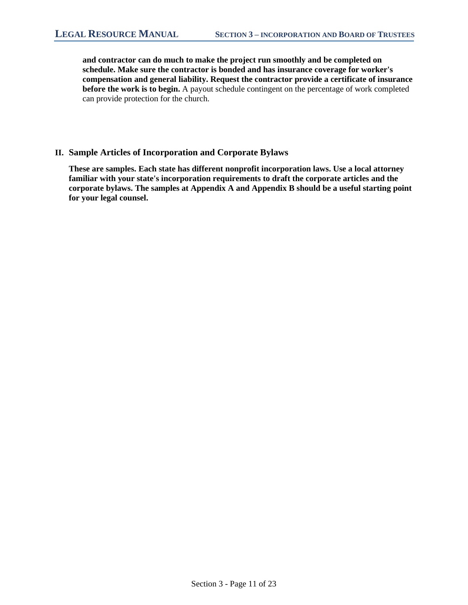**and contractor can do much to make the project run smoothly and be completed on schedule. Make sure the contractor is bonded and has insurance coverage for worker's compensation and general liability. Request the contractor provide a certificate of insurance before the work is to begin.** A payout schedule contingent on the percentage of work completed can provide protection for the church.

#### **II. Sample Articles of Incorporation and Corporate Bylaws**

**These are samples. Each state has different nonprofit incorporation laws. Use a local attorney familiar with your state's incorporation requirements to draft the corporate articles and the corporate bylaws. The samples at Appendix A and Appendix B should be a useful starting point for your legal counsel.**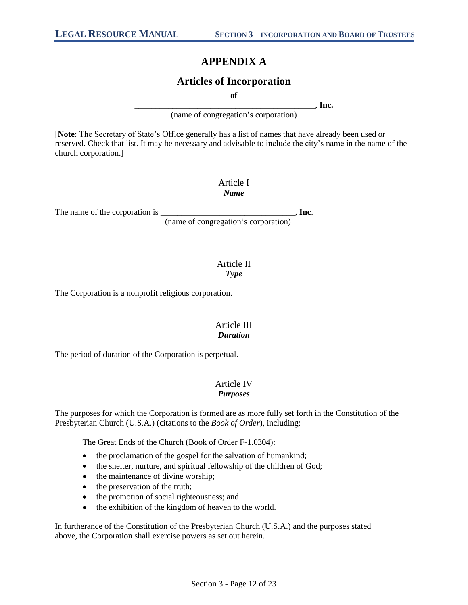# **APPENDIX A**

# **Articles of Incorporation**

**of**

\_\_\_\_\_\_\_\_\_\_\_\_\_\_\_\_\_\_\_\_\_\_\_\_\_\_\_\_\_\_\_\_\_\_\_\_\_\_\_\_\_\_\_, **Inc.**

(name of congregation's corporation)

[**Note**: The Secretary of State's Office generally has a list of names that have already been used or reserved. Check that list. It may be necessary and advisable to include the city's name in the name of the church corporation.]

> Article I *Name*

The name of the corporation is \_\_\_\_\_\_\_\_\_\_\_\_\_\_\_\_\_\_\_\_\_\_\_\_\_\_\_\_\_\_\_\_, **Inc**.

(name of congregation's corporation)

## Article II *Type*

The Corporation is a nonprofit religious corporation.

# Article III *Duration*

The period of duration of the Corporation is perpetual.

#### Article IV *Purposes*

The purposes for which the Corporation is formed are as more fully set forth in the Constitution of the Presbyterian Church (U.S.A.) (citations to the *Book of Order*), including:

The Great Ends of the Church (Book of Order F-1.0304):

- the proclamation of the gospel for the salvation of humankind;
- the shelter, nurture, and spiritual fellowship of the children of God;
- the maintenance of divine worship;
- the preservation of the truth;
- the promotion of social righteousness; and
- the exhibition of the kingdom of heaven to the world.

In furtherance of the Constitution of the Presbyterian Church (U.S.A.) and the purposes stated above, the Corporation shall exercise powers as set out herein.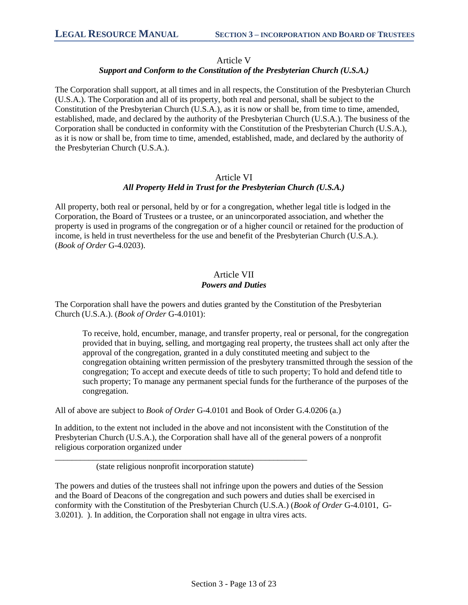#### Article V

# *Support and Conform to the Constitution of the Presbyterian Church (U.S.A.)*

The Corporation shall support, at all times and in all respects, the Constitution of the Presbyterian Church (U.S.A.). The Corporation and all of its property, both real and personal, shall be subject to the Constitution of the Presbyterian Church (U.S.A.), as it is now or shall be, from time to time, amended, established, made, and declared by the authority of the Presbyterian Church (U.S.A.). The business of the Corporation shall be conducted in conformity with the Constitution of the Presbyterian Church (U.S.A.), as it is now or shall be, from time to time, amended, established, made, and declared by the authority of the Presbyterian Church (U.S.A.).

### Article VI *All Property Held in Trust for the Presbyterian Church (U.S.A.)*

All property, both real or personal, held by or for a congregation, whether legal title is lodged in the Corporation, the Board of Trustees or a trustee, or an unincorporated association, and whether the property is used in programs of the congregation or of a higher council or retained for the production of income, is held in trust nevertheless for the use and benefit of the Presbyterian Church (U.S.A.). (*Book of Order* G-4.0203).

## Article VII *Powers and Duties*

The Corporation shall have the powers and duties granted by the Constitution of the Presbyterian Church (U.S.A.). (*Book of Order* G-4.0101):

To receive, hold, encumber, manage, and transfer property, real or personal, for the congregation provided that in buying, selling, and mortgaging real property, the trustees shall act only after the approval of the congregation, granted in a duly constituted meeting and subject to the congregation obtaining written permission of the presbytery transmitted through the session of the congregation; To accept and execute deeds of title to such property; To hold and defend title to such property; To manage any permanent special funds for the furtherance of the purposes of the congregation.

All of above are subject to *Book of Order* G-4.0101 and Book of Order G.4.0206 (a.)

In addition, to the extent not included in the above and not inconsistent with the Constitution of the Presbyterian Church (U.S.A.), the Corporation shall have all of the general powers of a nonprofit religious corporation organized under

(state religious nonprofit incorporation statute)

\_\_\_\_\_\_\_\_\_\_\_\_\_\_\_\_\_\_\_\_\_\_\_\_\_\_\_\_\_\_\_\_\_\_\_\_\_\_\_\_\_\_\_\_\_\_\_\_\_\_\_\_\_\_\_\_\_\_\_\_

The powers and duties of the trustees shall not infringe upon the powers and duties of the Session and the Board of Deacons of the congregation and such powers and duties shall be exercised in conformity with the Constitution of the Presbyterian Church (U.S.A.) (*Book of Order* G-4.0101, G-3.0201). ). In addition, the Corporation shall not engage in ultra vires acts.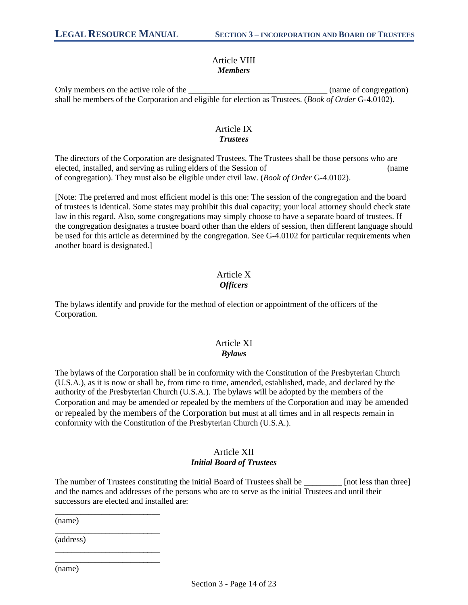### Article VIII *Members*

Only members on the active role of the the the contraction of congregation) shall be members of the Corporation and eligible for election as Trustees. (*Book of Order* G-4.0102).

# Article IX *Trustees*

The directors of the Corporation are designated Trustees. The Trustees shall be those persons who are elected, installed, and serving as ruling elders of the Session of (name of congregation). They must also be eligible under civil law. (*Book of Order* G-4.0102).

[Note: The preferred and most efficient model is this one: The session of the congregation and the board of trustees is identical. Some states may prohibit this dual capacity; your local attorney should check state law in this regard. Also, some congregations may simply choose to have a separate board of trustees. If the congregation designates a trustee board other than the elders of session, then different language should be used for this article as determined by the congregation. See G-4.0102 for particular requirements when another board is designated.]

# Article X *Officers*

The bylaws identify and provide for the method of election or appointment of the officers of the Corporation.

#### Article XI *Bylaws*

The bylaws of the Corporation shall be in conformity with the Constitution of the Presbyterian Church (U.S.A.), as it is now or shall be, from time to time, amended, established, made, and declared by the authority of the Presbyterian Church (U.S.A.). The bylaws will be adopted by the members of the Corporation and may be amended or repealed by the members of the Corporation and may be amended or repealed by the members of the Corporation but must at all times and in all respects remain in conformity with the Constitution of the Presbyterian Church (U.S.A.).

# Article XII *Initial Board of Trustees*

The number of Trustees constituting the initial Board of Trustees shall be \_\_\_\_\_\_\_\_\_ [not less than three] and the names and addresses of the persons who are to serve as the initial Trustees and until their successors are elected and installed are:

(name)

(address)

\_\_\_\_\_\_\_\_\_\_\_\_\_\_\_\_\_\_\_\_\_\_\_\_\_

\_\_\_\_\_\_\_\_\_\_\_\_\_\_\_\_\_\_\_\_\_\_\_\_\_

\_\_\_\_\_\_\_\_\_\_\_\_\_\_\_\_\_\_\_\_\_\_\_\_\_ \_\_\_\_\_\_\_\_\_\_\_\_\_\_\_\_\_\_\_\_\_\_\_\_\_

(name)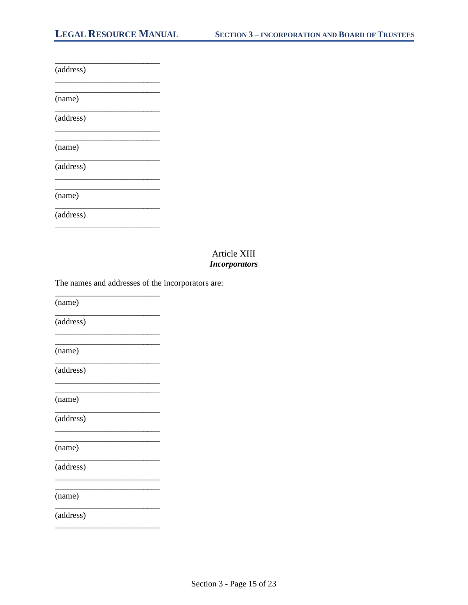| (address) |  |
|-----------|--|
| (name)    |  |
| (address) |  |
| (name)    |  |
| (address) |  |
| (name)    |  |
| (address) |  |
|           |  |

### Article XIII **Incorporators**

The names and addresses of the incorporators are:

(name)

(address)

(name)

(address)

(name)

(address)

(name)

(address)

(name)

(address)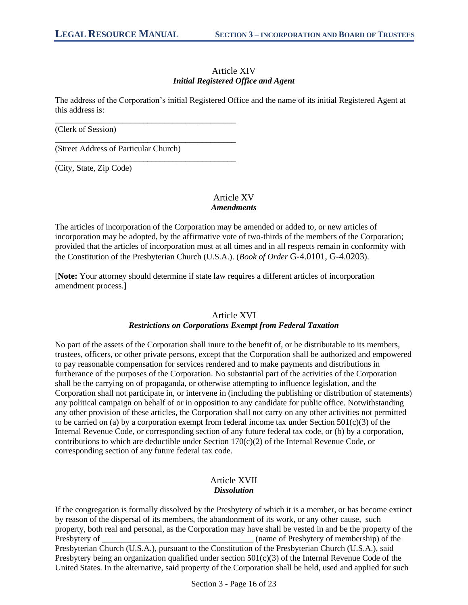#### Article XIV *Initial Registered Office and Agent*

The address of the Corporation's initial Registered Office and the name of its initial Registered Agent at this address is:

(Clerk of Session)

(Street Address of Particular Church)

\_\_\_\_\_\_\_\_\_\_\_\_\_\_\_\_\_\_\_\_\_\_\_\_\_\_\_\_\_\_\_\_\_\_\_\_\_\_\_\_\_\_\_

\_\_\_\_\_\_\_\_\_\_\_\_\_\_\_\_\_\_\_\_\_\_\_\_\_\_\_\_\_\_\_\_\_\_\_\_\_\_\_\_\_\_\_

\_\_\_\_\_\_\_\_\_\_\_\_\_\_\_\_\_\_\_\_\_\_\_\_\_\_\_\_\_\_\_\_\_\_\_\_\_\_\_\_\_\_\_

(City, State, Zip Code)

## Article XV *Amendments*

The articles of incorporation of the Corporation may be amended or added to, or new articles of incorporation may be adopted, by the affirmative vote of two-thirds of the members of the Corporation; provided that the articles of incorporation must at all times and in all respects remain in conformity with the Constitution of the Presbyterian Church (U.S.A.). (*Book of Order* G-4.0101, G-4.0203).

[**Note:** Your attorney should determine if state law requires a different articles of incorporation amendment process.]

#### Article XVI *Restrictions on Corporations Exempt from Federal Taxation*

No part of the assets of the Corporation shall inure to the benefit of, or be distributable to its members, trustees, officers, or other private persons, except that the Corporation shall be authorized and empowered to pay reasonable compensation for services rendered and to make payments and distributions in furtherance of the purposes of the Corporation. No substantial part of the activities of the Corporation shall be the carrying on of propaganda, or otherwise attempting to influence legislation, and the Corporation shall not participate in, or intervene in (including the publishing or distribution of statements) any political campaign on behalf of or in opposition to any candidate for public office. Notwithstanding any other provision of these articles, the Corporation shall not carry on any other activities not permitted to be carried on (a) by a corporation exempt from federal income tax under Section  $501(c)(3)$  of the Internal Revenue Code, or corresponding section of any future federal tax code, or (b) by a corporation, contributions to which are deductible under Section 170(c)(2) of the Internal Revenue Code, or corresponding section of any future federal tax code.

### Article XVII *Dissolution*

If the congregation is formally dissolved by the Presbytery of which it is a member, or has become extinct by reason of the dispersal of its members, the abandonment of its work, or any other cause, such property, both real and personal, as the Corporation may have shall be vested in and be the property of the Presbytery of Tresbytery of  $\Box$  (name of Presbytery of membership) of the Presbyterian Church (U.S.A.), pursuant to the Constitution of the Presbyterian Church (U.S.A.), said Presbytery being an organization qualified under section 501(c)(3) of the Internal Revenue Code of the United States. In the alternative, said property of the Corporation shall be held, used and applied for such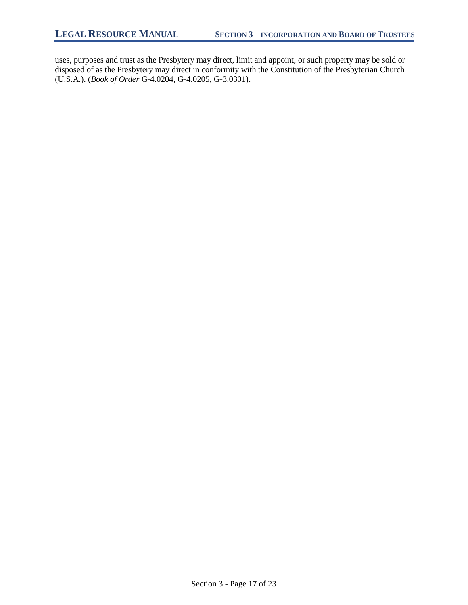uses, purposes and trust as the Presbytery may direct, limit and appoint, or such property may be sold or disposed of as the Presbytery may direct in conformity with the Constitution of the Presbyterian Church (U.S.A.). (*Book of Order* G-4.0204, G-4.0205, G-3.0301).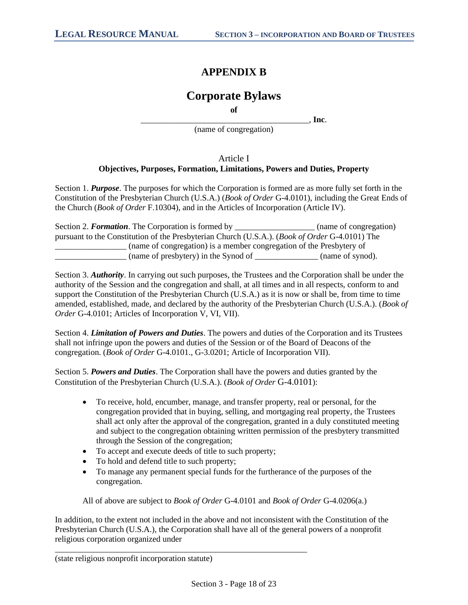# **APPENDIX B**

# **Corporate Bylaws**

**of**

\_\_\_\_\_\_\_\_\_\_\_\_\_\_\_\_\_\_\_\_\_\_\_\_\_\_\_\_\_\_\_\_\_\_\_\_\_\_\_\_, **Inc**.

(name of congregation)

## Article I **Objectives, Purposes, Formation, Limitations, Powers and Duties, Property**

Section 1. *Purpose*. The purposes for which the Corporation is formed are as more fully set forth in the Constitution of the Presbyterian Church (U.S.A.) (*Book of Order* G-4.0101), including the Great Ends of the Church (*Book of Order* F.10304), and in the Articles of Incorporation (Article IV).

| Section 2. Formation. The Corporation is formed by                                             | (name of congregation) |  |
|------------------------------------------------------------------------------------------------|------------------------|--|
| pursuant to the Constitution of the Presbyterian Church (U.S.A.). (Book of Order G-4.0101) The |                        |  |
| (name of congregation) is a member congregation of the Presbytery of                           |                        |  |
| (name of presbytery) in the Synod of                                                           | (name of synod).       |  |

Section 3. *Authority*. In carrying out such purposes, the Trustees and the Corporation shall be under the authority of the Session and the congregation and shall, at all times and in all respects, conform to and support the Constitution of the Presbyterian Church (U.S.A.) as it is now or shall be, from time to time amended, established, made, and declared by the authority of the Presbyterian Church (U.S.A.). (*Book of Order* G-4.0101; Articles of Incorporation V, VI, VII).

Section 4. *Limitation of Powers and Duties*. The powers and duties of the Corporation and its Trustees shall not infringe upon the powers and duties of the Session or of the Board of Deacons of the congregation. (*Book of Order* G-4.0101., G-3.0201; Article of Incorporation VII).

Section 5. *Powers and Duties*. The Corporation shall have the powers and duties granted by the Constitution of the Presbyterian Church (U.S.A.). (*Book of Order* G-4.0101):

- To receive, hold, encumber, manage, and transfer property, real or personal, for the congregation provided that in buying, selling, and mortgaging real property, the Trustees shall act only after the approval of the congregation, granted in a duly constituted meeting and subject to the congregation obtaining written permission of the presbytery transmitted through the Session of the congregation;
- To accept and execute deeds of title to such property;

\_\_\_\_\_\_\_\_\_\_\_\_\_\_\_\_\_\_\_\_\_\_\_\_\_\_\_\_\_\_\_\_\_\_\_\_\_\_\_\_\_\_\_\_\_\_\_\_\_\_\_\_\_\_\_\_\_\_\_\_

- To hold and defend title to such property;
- To manage any permanent special funds for the furtherance of the purposes of the congregation.

All of above are subject to *Book of Order* G-4.0101 and *Book of Order* G-4.0206(a.)

In addition, to the extent not included in the above and not inconsistent with the Constitution of the Presbyterian Church (U.S.A.), the Corporation shall have all of the general powers of a nonprofit religious corporation organized under

(state religious nonprofit incorporation statute)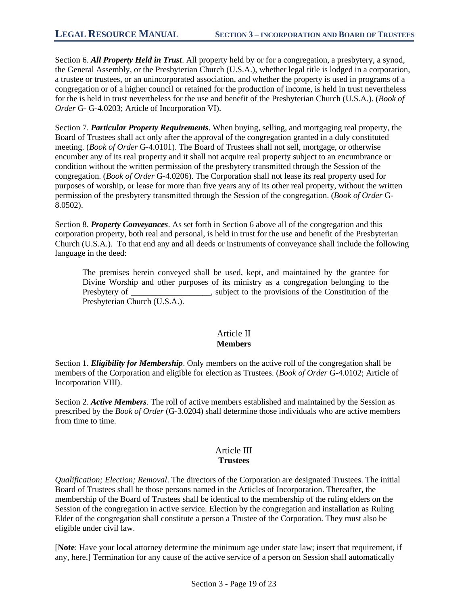Section 6. *All Property Held in Trust*. All property held by or for a congregation, a presbytery, a synod, the General Assembly, or the Presbyterian Church (U.S.A.), whether legal title is lodged in a corporation, a trustee or trustees, or an unincorporated association, and whether the property is used in programs of a congregation or of a higher council or retained for the production of income, is held in trust nevertheless for the is held in trust nevertheless for the use and benefit of the Presbyterian Church (U.S.A.). (*Book of Order* G- G-4.0203; Article of Incorporation VI).

Section 7. *Particular Property Requirements*. When buying, selling, and mortgaging real property, the Board of Trustees shall act only after the approval of the congregation granted in a duly constituted meeting. (*Book of Order* G-4.0101). The Board of Trustees shall not sell, mortgage, or otherwise encumber any of its real property and it shall not acquire real property subject to an encumbrance or condition without the written permission of the presbytery transmitted through the Session of the congregation. (*Book of Order* G-4.0206). The Corporation shall not lease its real property used for purposes of worship, or lease for more than five years any of its other real property, without the written permission of the presbytery transmitted through the Session of the congregation. (*Book of Order* G-8.0502).

Section 8. *Property Conveyances*. As set forth in Section 6 above all of the congregation and this corporation property, both real and personal, is held in trust for the use and benefit of the Presbyterian Church (U.S.A.). To that end any and all deeds or instruments of conveyance shall include the following language in the deed:

The premises herein conveyed shall be used, kept, and maintained by the grantee for Divine Worship and other purposes of its ministry as a congregation belonging to the Presbytery of example is subject to the provisions of the Constitution of the Presbytery of the Constitution of the  $\Gamma$ Presbyterian Church (U.S.A.).

### Article II **Members**

Section 1. *Eligibility for Membership*. Only members on the active roll of the congregation shall be members of the Corporation and eligible for election as Trustees. (*Book of Order* G-4.0102; Article of Incorporation VIII).

Section 2. *Active Members*. The roll of active members established and maintained by the Session as prescribed by the *Book of Order* (G-3.0204) shall determine those individuals who are active members from time to time.

#### Article III **Trustees**

*Qualification; Election; Removal*. The directors of the Corporation are designated Trustees. The initial Board of Trustees shall be those persons named in the Articles of Incorporation. Thereafter, the membership of the Board of Trustees shall be identical to the membership of the ruling elders on the Session of the congregation in active service. Election by the congregation and installation as Ruling Elder of the congregation shall constitute a person a Trustee of the Corporation. They must also be eligible under civil law.

[**Note**: Have your local attorney determine the minimum age under state law; insert that requirement, if any, here.] Termination for any cause of the active service of a person on Session shall automatically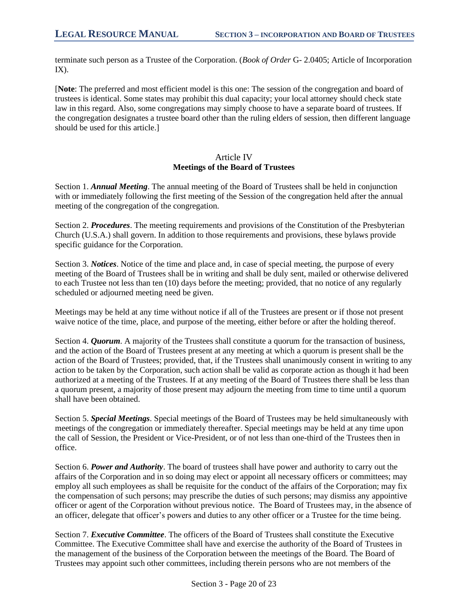terminate such person as a Trustee of the Corporation. (*Book of Order* G- 2.0405; Article of Incorporation  $IX$ ).

[**Note**: The preferred and most efficient model is this one: The session of the congregation and board of trustees is identical. Some states may prohibit this dual capacity; your local attorney should check state law in this regard. Also, some congregations may simply choose to have a separate board of trustees. If the congregation designates a trustee board other than the ruling elders of session, then different language should be used for this article.]

#### Article IV **Meetings of the Board of Trustees**

Section 1. *Annual Meeting*. The annual meeting of the Board of Trustees shall be held in conjunction with or immediately following the first meeting of the Session of the congregation held after the annual meeting of the congregation of the congregation.

Section 2. *Procedures*. The meeting requirements and provisions of the Constitution of the Presbyterian Church (U.S.A.) shall govern. In addition to those requirements and provisions, these bylaws provide specific guidance for the Corporation.

Section 3. *Notices*. Notice of the time and place and, in case of special meeting, the purpose of every meeting of the Board of Trustees shall be in writing and shall be duly sent, mailed or otherwise delivered to each Trustee not less than ten (10) days before the meeting; provided, that no notice of any regularly scheduled or adjourned meeting need be given.

Meetings may be held at any time without notice if all of the Trustees are present or if those not present waive notice of the time, place, and purpose of the meeting, either before or after the holding thereof.

Section 4. *Ouorum*. A majority of the Trustees shall constitute a quorum for the transaction of business, and the action of the Board of Trustees present at any meeting at which a quorum is present shall be the action of the Board of Trustees; provided, that, if the Trustees shall unanimously consent in writing to any action to be taken by the Corporation, such action shall be valid as corporate action as though it had been authorized at a meeting of the Trustees. If at any meeting of the Board of Trustees there shall be less than a quorum present, a majority of those present may adjourn the meeting from time to time until a quorum shall have been obtained.

Section 5. *Special Meetings*. Special meetings of the Board of Trustees may be held simultaneously with meetings of the congregation or immediately thereafter. Special meetings may be held at any time upon the call of Session, the President or Vice-President, or of not less than one-third of the Trustees then in office.

Section 6. *Power and Authority*. The board of trustees shall have power and authority to carry out the affairs of the Corporation and in so doing may elect or appoint all necessary officers or committees; may employ all such employees as shall be requisite for the conduct of the affairs of the Corporation; may fix the compensation of such persons; may prescribe the duties of such persons; may dismiss any appointive officer or agent of the Corporation without previous notice. The Board of Trustees may, in the absence of an officer, delegate that officer's powers and duties to any other officer or a Trustee for the time being.

Section 7. *Executive Committee*. The officers of the Board of Trustees shall constitute the Executive Committee. The Executive Committee shall have and exercise the authority of the Board of Trustees in the management of the business of the Corporation between the meetings of the Board. The Board of Trustees may appoint such other committees, including therein persons who are not members of the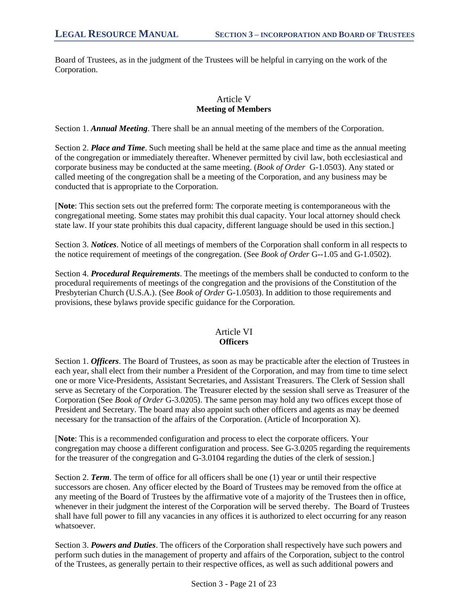Board of Trustees, as in the judgment of the Trustees will be helpful in carrying on the work of the Corporation.

# Article V **Meeting of Members**

Section 1. *Annual Meeting*. There shall be an annual meeting of the members of the Corporation.

Section 2. *Place and Time*. Such meeting shall be held at the same place and time as the annual meeting of the congregation or immediately thereafter. Whenever permitted by civil law, both ecclesiastical and corporate business may be conducted at the same meeting. (*Book of Order* G-1.0503). Any stated or called meeting of the congregation shall be a meeting of the Corporation, and any business may be conducted that is appropriate to the Corporation.

[**Note**: This section sets out the preferred form: The corporate meeting is contemporaneous with the congregational meeting. Some states may prohibit this dual capacity. Your local attorney should check state law. If your state prohibits this dual capacity, different language should be used in this section.]

Section 3. *Notices*. Notice of all meetings of members of the Corporation shall conform in all respects to the notice requirement of meetings of the congregation. (See *Book of Order* G--1.05 and G-1.0502).

Section 4. *Procedural Requirements*. The meetings of the members shall be conducted to conform to the procedural requirements of meetings of the congregation and the provisions of the Constitution of the Presbyterian Church (U.S.A.). (See *Book of Order* G-1.0503). In addition to those requirements and provisions, these bylaws provide specific guidance for the Corporation.

# Article VI **Officers**

Section 1. *Officers*. The Board of Trustees, as soon as may be practicable after the election of Trustees in each year, shall elect from their number a President of the Corporation, and may from time to time select one or more Vice-Presidents, Assistant Secretaries, and Assistant Treasurers. The Clerk of Session shall serve as Secretary of the Corporation. The Treasurer elected by the session shall serve as Treasurer of the Corporation (See *Book of Order* G-3.0205). The same person may hold any two offices except those of President and Secretary. The board may also appoint such other officers and agents as may be deemed necessary for the transaction of the affairs of the Corporation. (Article of Incorporation X).

[**Note**: This is a recommended configuration and process to elect the corporate officers. Your congregation may choose a different configuration and process. See G-3.0205 regarding the requirements for the treasurer of the congregation and G-3.0104 regarding the duties of the clerk of session.]

Section 2. *Term*. The term of office for all officers shall be one (1) year or until their respective successors are chosen. Any officer elected by the Board of Trustees may be removed from the office at any meeting of the Board of Trustees by the affirmative vote of a majority of the Trustees then in office, whenever in their judgment the interest of the Corporation will be served thereby. The Board of Trustees shall have full power to fill any vacancies in any offices it is authorized to elect occurring for any reason whatsoever.

Section 3. *Powers and Duties*. The officers of the Corporation shall respectively have such powers and perform such duties in the management of property and affairs of the Corporation, subject to the control of the Trustees, as generally pertain to their respective offices, as well as such additional powers and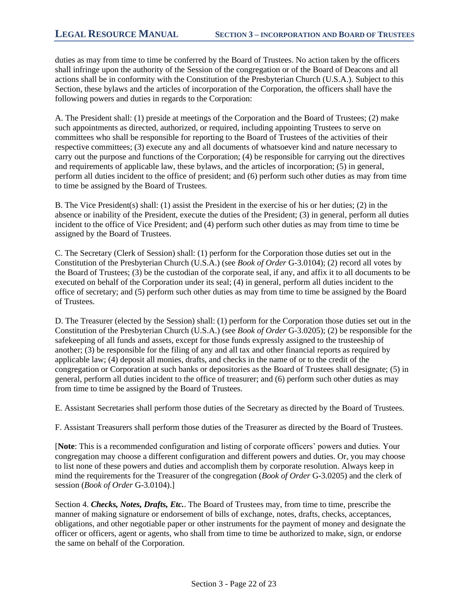duties as may from time to time be conferred by the Board of Trustees. No action taken by the officers shall infringe upon the authority of the Session of the congregation or of the Board of Deacons and all actions shall be in conformity with the Constitution of the Presbyterian Church (U.S.A.). Subject to this Section, these bylaws and the articles of incorporation of the Corporation, the officers shall have the following powers and duties in regards to the Corporation:

A. The President shall: (1) preside at meetings of the Corporation and the Board of Trustees; (2) make such appointments as directed, authorized, or required, including appointing Trustees to serve on committees who shall be responsible for reporting to the Board of Trustees of the activities of their respective committees; (3) execute any and all documents of whatsoever kind and nature necessary to carry out the purpose and functions of the Corporation; (4) be responsible for carrying out the directives and requirements of applicable law, these bylaws, and the articles of incorporation; (5) in general, perform all duties incident to the office of president; and (6) perform such other duties as may from time to time be assigned by the Board of Trustees.

B. The Vice President(s) shall: (1) assist the President in the exercise of his or her duties; (2) in the absence or inability of the President, execute the duties of the President; (3) in general, perform all duties incident to the office of Vice President; and (4) perform such other duties as may from time to time be assigned by the Board of Trustees.

C. The Secretary (Clerk of Session) shall: (1) perform for the Corporation those duties set out in the Constitution of the Presbyterian Church (U.S.A.) (see *Book of Order* G-3.0104); (2) record all votes by the Board of Trustees; (3) be the custodian of the corporate seal, if any, and affix it to all documents to be executed on behalf of the Corporation under its seal; (4) in general, perform all duties incident to the office of secretary; and (5) perform such other duties as may from time to time be assigned by the Board of Trustees.

D. The Treasurer (elected by the Session) shall: (1) perform for the Corporation those duties set out in the Constitution of the Presbyterian Church (U.S.A.) (see *Book of Order* G-3.0205); (2) be responsible for the safekeeping of all funds and assets, except for those funds expressly assigned to the trusteeship of another; (3) be responsible for the filing of any and all tax and other financial reports as required by applicable law; (4) deposit all monies, drafts, and checks in the name of or to the credit of the congregation or Corporation at such banks or depositories as the Board of Trustees shall designate; (5) in general, perform all duties incident to the office of treasurer; and (6) perform such other duties as may from time to time be assigned by the Board of Trustees.

E. Assistant Secretaries shall perform those duties of the Secretary as directed by the Board of Trustees.

F. Assistant Treasurers shall perform those duties of the Treasurer as directed by the Board of Trustees.

[**Note**: This is a recommended configuration and listing of corporate officers' powers and duties. Your congregation may choose a different configuration and different powers and duties. Or, you may choose to list none of these powers and duties and accomplish them by corporate resolution. Always keep in mind the requirements for the Treasurer of the congregation (*Book of Order* G-3.0205) and the clerk of session (*Book of Order* G-3.0104).]

Section 4. *Checks, Notes, Drafts, Etc.*. The Board of Trustees may, from time to time, prescribe the manner of making signature or endorsement of bills of exchange, notes, drafts, checks, acceptances, obligations, and other negotiable paper or other instruments for the payment of money and designate the officer or officers, agent or agents, who shall from time to time be authorized to make, sign, or endorse the same on behalf of the Corporation.